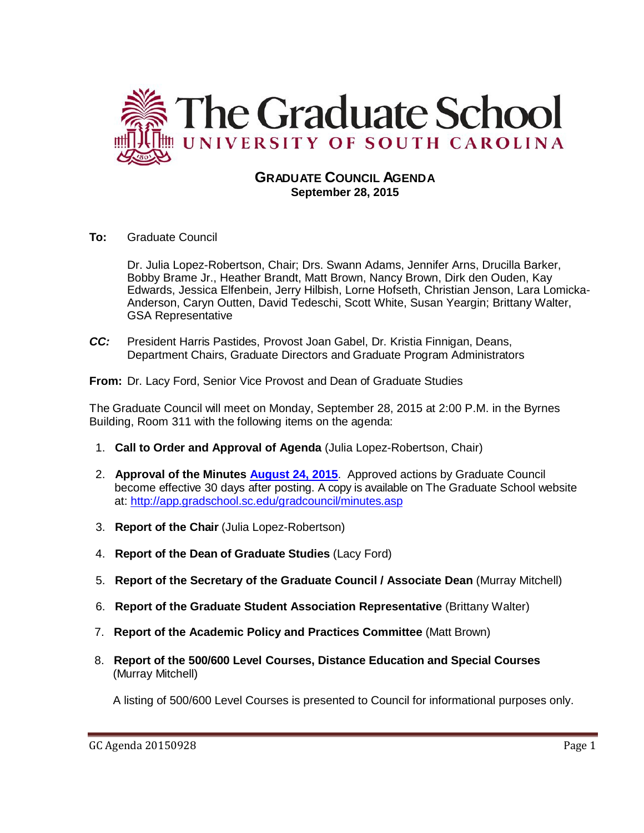

## **GRADUATE COUNCIL AGENDA September 28, 2015**

**To:** Graduate Council

Dr. Julia Lopez-Robertson, Chair; Drs. Swann Adams, Jennifer Arns, Drucilla Barker, Bobby Brame Jr., Heather Brandt, Matt Brown, Nancy Brown, Dirk den Ouden, Kay Edwards, Jessica Elfenbein, Jerry Hilbish, Lorne Hofseth, Christian Jenson, Lara Lomicka-Anderson, Caryn Outten, David Tedeschi, Scott White, Susan Yeargin; Brittany Walter, GSA Representative

*CC:* President Harris Pastides, Provost Joan Gabel, Dr. Kristia Finnigan, Deans, Department Chairs, Graduate Directors and Graduate Program Administrators

**From:** Dr. Lacy Ford, Senior Vice Provost and Dean of Graduate Studies

The Graduate Council will meet on Monday, September 28, 2015 at 2:00 P.M. in the Byrnes Building, Room 311 with the following items on the agenda:

- 1. **Call to Order and Approval of Agenda** (Julia Lopez-Robertson, Chair)
- 2. **Approval of the Minutes [August 24, 2015](http://gradschool.sc.edu/facstaff/gradcouncil/2015/GC%20Minutes%20August%2024%202015.pdf)**. Approved actions by Graduate Council become effective 30 days after posting. A copy is available on The Graduate School website at:<http://app.gradschool.sc.edu/gradcouncil/minutes.asp>
- 3. **Report of the Chair** (Julia Lopez-Robertson)
- 4. **Report of the Dean of Graduate Studies** (Lacy Ford)
- 5. **Report of the Secretary of the Graduate Council / Associate Dean** (Murray Mitchell)
- 6. **Report of the Graduate Student Association Representative** (Brittany Walter)
- 7. **Report of the Academic Policy and Practices Committee** (Matt Brown)
- 8. **Report of the 500/600 Level Courses, Distance Education and Special Courses** (Murray Mitchell)

A listing of 500/600 Level Courses is presented to Council for informational purposes only.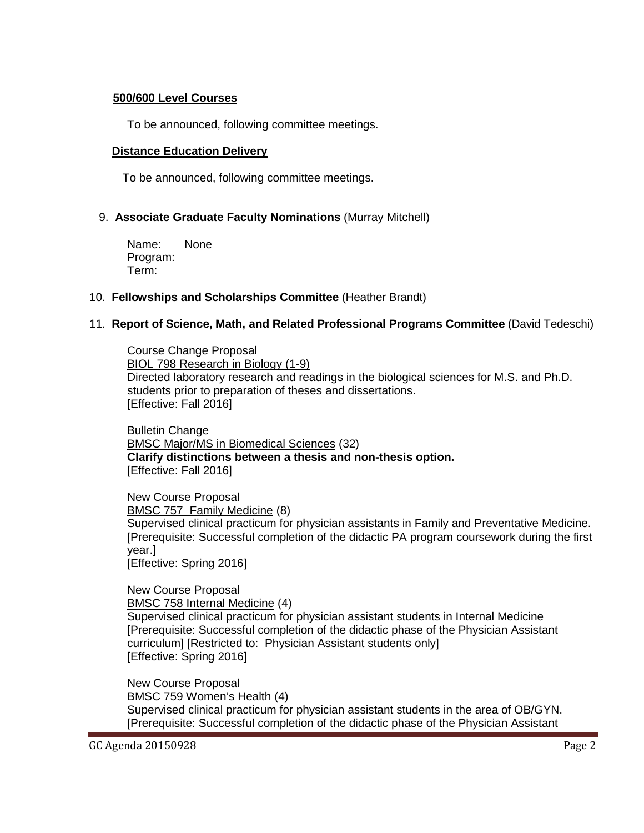#### **500/600 Level Courses**

To be announced, following committee meetings.

## **Distance Education Delivery**

To be announced, following committee meetings.

## 9. **Associate Graduate Faculty Nominations** (Murray Mitchell)

Name: None Program: Term:

#### 10. **Fellowships and Scholarships Committee** (Heather Brandt)

## 11. **Report of Science, Math, and Related Professional Programs Committee** (David Tedeschi)

Course Change Proposal BIOL 798 Research in Biology (1-9) Directed laboratory research and readings in the biological sciences for M.S. and Ph.D. students prior to preparation of theses and dissertations. [Effective: Fall 2016]

Bulletin Change BMSC Major/MS in Biomedical Sciences (32) **Clarify distinctions between a thesis and non-thesis option.** [Effective: Fall 2016]

New Course Proposal BMSC 757 Family Medicine (8) Supervised clinical practicum for physician assistants in Family and Preventative Medicine. [Prerequisite: Successful completion of the didactic PA program coursework during the first year.] [Effective: Spring 2016]

New Course Proposal BMSC 758 Internal Medicine (4) Supervised clinical practicum for physician assistant students in Internal Medicine [Prerequisite: Successful completion of the didactic phase of the Physician Assistant curriculum] [Restricted to: Physician Assistant students only] [Effective: Spring 2016]

New Course Proposal BMSC 759 Women's Health (4) Supervised clinical practicum for physician assistant students in the area of OB/GYN. [Prerequisite: Successful completion of the didactic phase of the Physician Assistant

GC Agenda 20150928 Page 2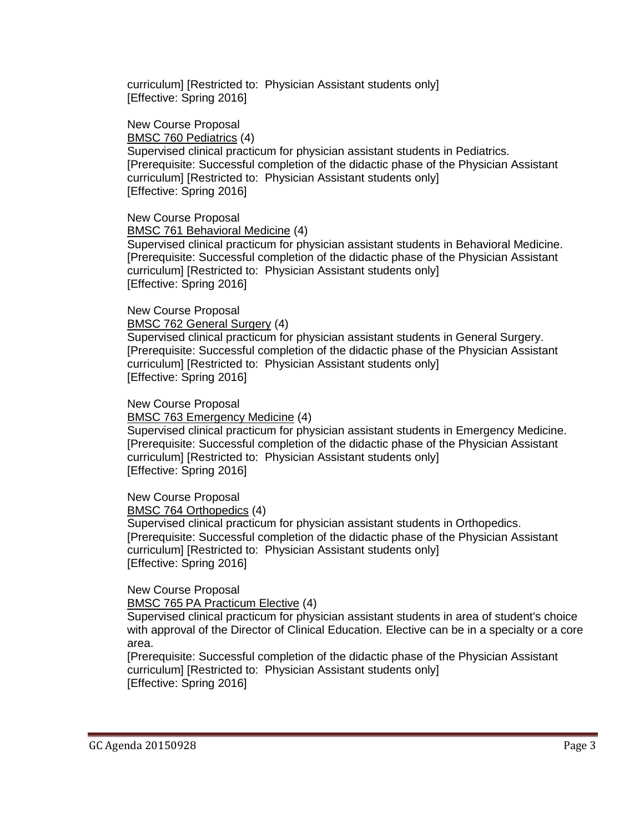curriculum] [Restricted to: Physician Assistant students only] [Effective: Spring 2016]

New Course Proposal

BMSC 760 Pediatrics (4)

Supervised clinical practicum for physician assistant students in Pediatrics. [Prerequisite: Successful completion of the didactic phase of the Physician Assistant curriculum] [Restricted to: Physician Assistant students only] [Effective: Spring 2016]

New Course Proposal

BMSC 761 Behavioral Medicine (4)

Supervised clinical practicum for physician assistant students in Behavioral Medicine. [Prerequisite: Successful completion of the didactic phase of the Physician Assistant curriculum] [Restricted to: Physician Assistant students only] [Effective: Spring 2016]

New Course Proposal

BMSC 762 General Surgery (4)

Supervised clinical practicum for physician assistant students in General Surgery. [Prerequisite: Successful completion of the didactic phase of the Physician Assistant curriculum] [Restricted to: Physician Assistant students only] [Effective: Spring 2016]

New Course Proposal

BMSC 763 Emergency Medicine (4)

Supervised clinical practicum for physician assistant students in Emergency Medicine. [Prerequisite: Successful completion of the didactic phase of the Physician Assistant curriculum] [Restricted to: Physician Assistant students only] [Effective: Spring 2016]

New Course Proposal

BMSC 764 Orthopedics (4)

Supervised clinical practicum for physician assistant students in Orthopedics. [Prerequisite: Successful completion of the didactic phase of the Physician Assistant curriculum] [Restricted to: Physician Assistant students only] [Effective: Spring 2016]

New Course Proposal

BMSC 765 PA Practicum Elective (4)

Supervised clinical practicum for physician assistant students in area of student's choice with approval of the Director of Clinical Education. Elective can be in a specialty or a core area.

[Prerequisite: Successful completion of the didactic phase of the Physician Assistant curriculum] [Restricted to: Physician Assistant students only] [Effective: Spring 2016]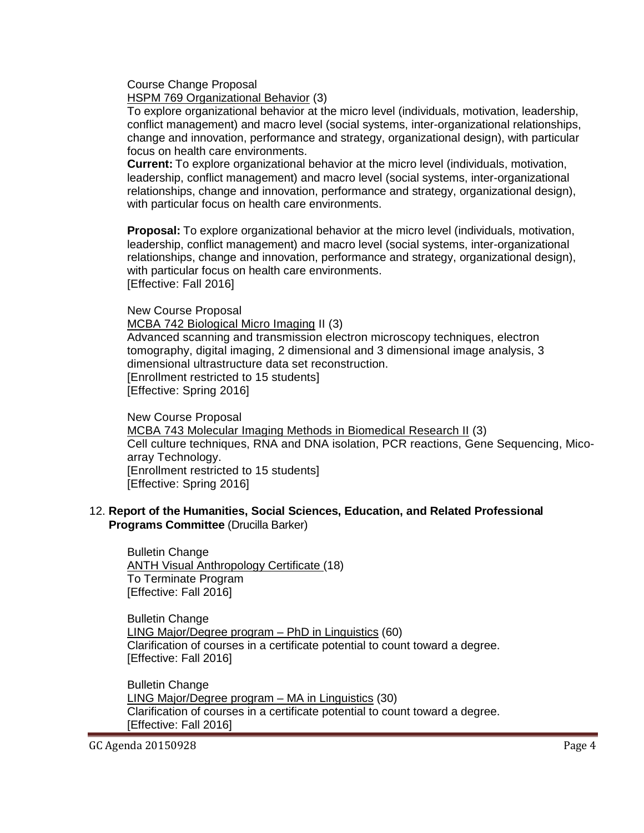Course Change Proposal

HSPM 769 Organizational Behavior (3)

To explore organizational behavior at the micro level (individuals, motivation, leadership, conflict management) and macro level (social systems, inter-organizational relationships, change and innovation, performance and strategy, organizational design), with particular focus on health care environments.

**Current:** To explore organizational behavior at the micro level (individuals, motivation, leadership, conflict management) and macro level (social systems, inter-organizational relationships, change and innovation, performance and strategy, organizational design), with particular focus on health care environments.

**Proposal:** To explore organizational behavior at the micro level (individuals, motivation, leadership, conflict management) and macro level (social systems, inter-organizational relationships, change and innovation, performance and strategy, organizational design), with particular focus on health care environments. [Effective: Fall 2016]

New Course Proposal

MCBA 742 Biological Micro Imaging II (3) Advanced scanning and transmission electron microscopy techniques, electron tomography, digital imaging, 2 dimensional and 3 dimensional image analysis, 3 dimensional ultrastructure data set reconstruction. [Enrollment restricted to 15 students] [Effective: Spring 2016]

New Course Proposal MCBA 743 Molecular Imaging Methods in Biomedical Research II (3) Cell culture techniques, RNA and DNA isolation, PCR reactions, Gene Sequencing, Micoarray Technology. [Enrollment restricted to 15 students] [Effective: Spring 2016]

#### 12. **Report of the Humanities, Social Sciences, Education, and Related Professional Programs Committee** (Drucilla Barker)

Bulletin Change ANTH Visual Anthropology Certificate (18) To Terminate Program [Effective: Fall 2016]

Bulletin Change LING Major/Degree program – PhD in Linguistics (60) Clarification of courses in a certificate potential to count toward a degree. [Effective: Fall 2016]

Bulletin Change LING Major/Degree program – MA in Linguistics (30) Clarification of courses in a certificate potential to count toward a degree. [Effective: Fall 2016]